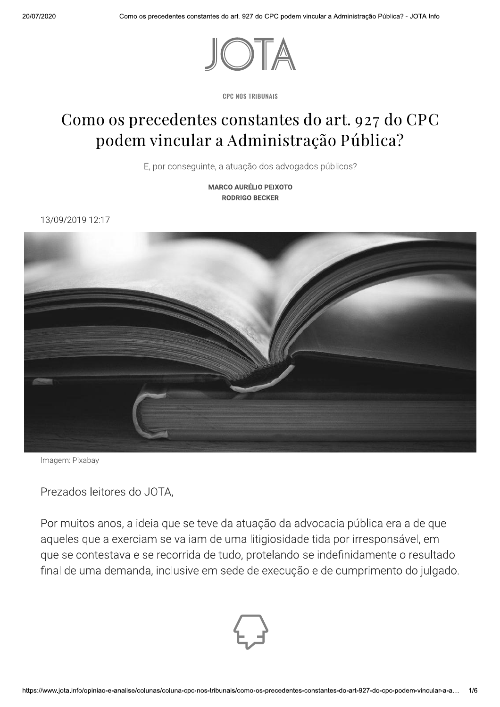

**CPC NOS TRIBUNAIS** 

## Como os precedentes constantes do art. 927 do CPC podem vincular a Administração Pública?

E, por conseguinte, a atuação dos advogados públicos?

**MARCO AURÉLIO PEIXOTO RODRIGO BECKER** 

13/09/2019 12:17



Imagem: Pixabay

Prezados leitores do JOTA,

Por muitos anos, a ideia que se teve da atuação da advocacia pública era a de que aqueles que a exerciam se valiam de uma litigiosidade tida por irresponsável, em que se contestava e se recorrida de tudo, protelando-se indefinidamente o resultado final de uma demanda, inclusive em sede de execução e de cumprimento do julgado.

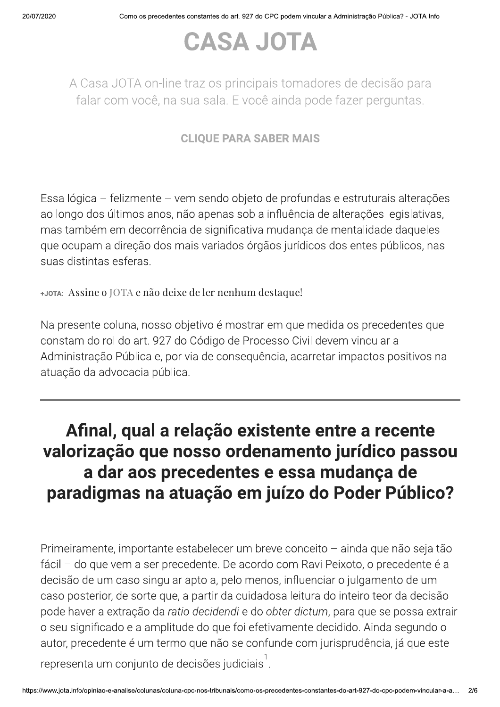# CASA JOTA

A Casa JOTA on-line traz os principais tomadores de decisão para falar com você, na sua sala. E você ainda pode fazer perguntas.

### CLIOUE PARA SABER MAIS

Essa lógica – felizmente – vem sendo objeto de profundas e estruturais alterações ao longo dos últimos anos, não apenas sob a influência de alterações legislativas, mas também em decorrência de significativa mudança de mentalidade daqueles que ocupam a direção dos mais variados órgãos jurídicos dos entes públicos, nas suas distintas esferas.

+JOTA: Assine o JOTA e não deixe de ler nenhum destaque!

Na presente coluna, nosso objetivo é mostrar em que medida os precedentes que constam do rol do art. 927 do Código de Processo Civil devem vincular a Administração Pública e, por via de consequência, acarretar impactos positivos na atuação da advocacia pública.

## Afinal, qual a relação existente entre a recente valorização que nosso ordenamento jurídico passou a dar aos precedentes e essa mudança de paradigmas na atuação em juízo do Poder Público?

o seu significado<br>autor, precedente<br>representa um co<br>https://www.jota.info/opiniao-e-ana  $P$ rimeiramente, importante estabelecer um breve conceito  $-$  ainda que não seja tão fácil – do que vem a ser precedente. De acordo com Ravi Peixoto, o precedente é a decisão de um caso singular apto a, pelo menos, influenciar o julgamento de um caso posterior, de sorte que, a partir da cuidadosa leitura do inteiro teor da decisão pode haver a extração da ratio decidendi e do obter dictum, para que se possa extrair o seu significado e a amplitude do que foi efetivamente decidido. Ainda segundo o autor, precedente é um termo que não se confunde com jurisprudência, já que este

representa um conjunto de decisões judiciais<sup>1</sup>.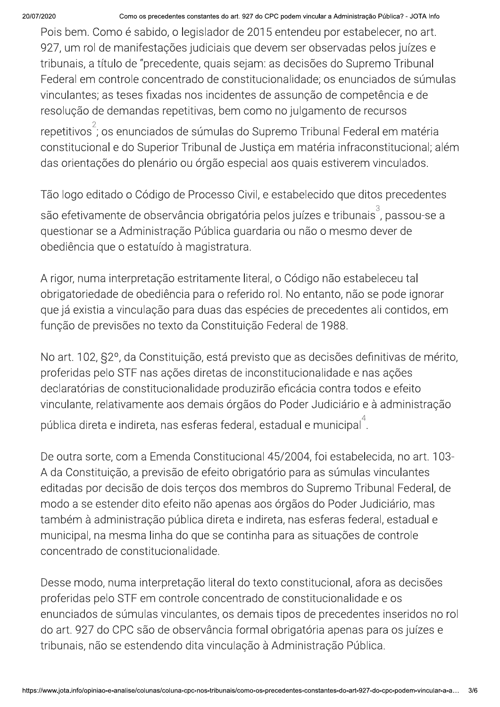Z020 Como os precedentes constantes do art. 927 do CPC podem vincular a Administração Publica? - JOTA info

-Pois bem. Como é sabido, o legislador de 2015 entendeu por estabelecer, no art. 927, um rol de manifestações judiciais que devem ser observadas pelos juízes e tribunais, a título de "precedente, quais sejam: as decisões do Supremo Tribunal Federal em controle concentrado de constitucionalidade; os enunciados de súmulas vinculantes; as teses fixadas nos incidentes de assunção de competência e de resolução de demandas repetitivas, bem como no julgamento de recursos

repetitivos<sup>2</sup>; os enunciados de súmulas do Supremo Tribunal Federal em matéria constitucional e do Superior Tribunal de Justiça em matéria infraconstitucional; além das orientações do plenário ou órgão especial aos quais estiverem vinculados.

Tão logo editado o Código de Processo Civil, e estabelecido que ditos precedentes

são efetivamente de observância obrigatória pelos juízes e tribunais<sup>3</sup>, passou-se a guestionar se a Administração Pública guardaria ou não o mesmo dever de obediência que o estatuído à magistratura.

A rigor, numa interpretação estritamente literal, o Código não estabeleceu tal obrigatoriedade de obediência para o referido rol. No entanto, não se pode ignorar que já existia a vinculação para duas das espécies de precedentes ali contidos, em função de previsões no texto da Constituição Federal de 1988.

No art. 102, §2°, da Constituição, está previsto que as decisões definitivas de mérito, proferidas pelo STF nas ações diretas de inconstitucionalidade e nas ações declaratórias de constitucionalidade produzirão eficácia contra todos e efeito vinculante, relativamente aos demais órgãos do Poder Judiciário e à administração pública direta e indireta, nas esferas federal, estadual e municipal<sup>4</sup>.

De outra sorte, com a Emenda Constitucional 45/2004, foi estabelecida, no art. 103-A da Constituição, a previsão de efeito obrigatório para as súmulas vinculantes editadas por decisão de dois terços dos membros do Supremo Tribunal Federal, de modo a se estender dito efeito não apenas aos órgãos do Poder Judiciário, mas também à administração pública direta e indireta, nas esferas federal, estadual e municipal, na mesma linha do que se continha para as situações de controle concentrado de constitucionalidade.

do art. 927 do CP<br>tribunais, não se<br>https://www.jota.info/opiniao-e-ana Desse modo, numa interpretação literal do texto constitucional, afora as decisões proferidas pelo STF em controle concentrado de constitucionalidade e os enunciados de súmulas vinculantes, os demais tipos de precedentes inseridos no rol do art. 927 do CPC são de observância formal obrigatória apenas para os juízes e tribunais, não se estendendo dita vinculação à Administração Pública.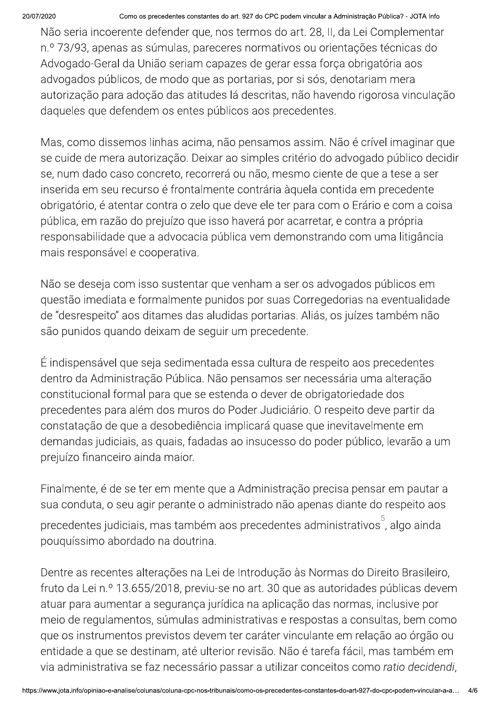#### Como os precedentes constantes do art. 927 do CPC podem vincular a Administração Pública? - JOTA Info

Não seria incoerente defender que, nos termos do art. 28, II, da Lei Complementar n.º 73/93, apenas as súmulas, pareceres normativos ou orientações técnicas do Advogado-Geral da União seriam capazes de gerar essa força obrigatória aos advogados públicos, de modo que as portarias, por si sós, denotariam mera autorização para adoção das atitudes lá descritas, não havendo rigorosa vinculação daqueles que defendem os entes públicos aos precedentes.

Mas, como dissemos linhas acima, não pensamos assim. Não é crível imaginar que se cuide de mera autorização. Deixar ao simples critério do advogado público decidir se, num dado caso concreto, recorrerá ou não, mesmo ciente de que a tese a ser inserida em seu recurso é frontalmente contrária àquela contida em precedente obrigatório, é atentar contra o zelo que deve ele ter para com o Erário e com a coisa pública, em razão do prejuízo que isso haverá por acarretar, e contra a própria responsabilidade que a advocacia pública vem demonstrando com uma litigância mais responsável e cooperativa.

Não se deseja com isso sustentar que venham a ser os advogados públicos em questão imediata e formalmente punidos por suas Corregedorias na eventualidade de "desrespeito" aos ditames das aludidas portarias. Aliás, os juízes também não são punidos quando deixam de seguir um precedente.

É indispensável que seja sedimentada essa cultura de respeito aos precedentes dentro da Administração Pública. Não pensamos ser necessária uma alteração constitucional formal para que se estenda o dever de obrigatoriedade dos precedentes para além dos muros do Poder Judiciário. O respeito deve partir da constatação de que a desobediência implicará quase que inevitavelmente em demandas judiciais, as quais, fadadas ao insucesso do poder público, levarão a um prejuízo financeiro ainda maior.

Finalmente, é de se ter em mente que a Administração precisa pensar em pautar a sua conduta, o seu agir perante o administrado não apenas diante do respeito aos precedentes judiciais, mas também aos precedentes administrativos<sup>5</sup>, algo ainda pouguíssimo abordado na doutrina.

Dentre as recentes alterações na Lei de Introdução às Normas do Direito Brasileiro, fruto da Lei n.º 13.655/2018, previu-se no art. 30 que as autoridades públicas devem atuar para aumentar a segurança jurídica na aplicação das normas, inclusive por meio de regulamentos, súmulas administrativas e respostas a consultas, bem como que os instrumentos previstos devem ter caráter vinculante em relação ao órgão ou entidade a que se destinam, até ulterior revisão. Não é tarefa fácil, mas também em via administrativa se faz necessário passar a utilizar conceitos como ratio decidendi,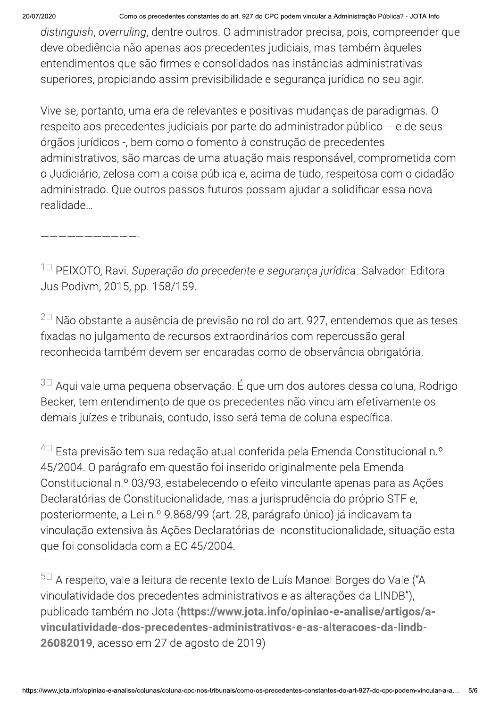Z020 Como os precedentes constantes do art. 927 do CPC podem vincular a Administração Publica? - JOTA info

distinguish, overruling, dentre outros. O administrador precisa, pois, compreender que deve obediência não apenas aos precedentes judiciais, mas também àqueles entendimentos que são firmes e consolidados nas instâncias administrativas superiores, propiciando assim previsibilidade e segurança jurídica no seu agir.

Vive-se, portanto, uma era de relevantes e positivas mudanças de paradigmas. O  $r$ espeito aos precedentes judiciais por parte do administrador público  $-$  e de seus órgãos jurídicos -, bem como o fomento à construção de precedentes administrativos, são marcas de uma atuação mais responsável, comprometida com o Judiciário, zelosa com a coisa pública e, acima de tudo, respeitosa com o cidadão administrado. Que outros passos futuros possam ajudar a solidificar essa nova realidade...

——————————————

 $1\text{D}$  PEIXOTO, Ravi. Superação do precedente e segurança jurídica. Salvador: Editora Jus Podivm, 2015, pp. 158/159.

 $^{2\square}$  Não obstante a ausência de previsão no rol do art. 927, entendemos que as teses fixadas no julgamento de recursos extraordinários com repercussão geral reconhecida também devem ser encaradas como de observância obrigatória.

 $3\Box$  Aqui vale uma pequena observação. É que um dos autores dessa coluna, Rodrigo Becker, tem entendimento de que os precedentes não vinculam efetivamente os demais juízes e tribunais, contudo, isso será tema de coluna específica.

 $^{4\Box}$  Esta previsão tem sua redação atual conferida pela Emenda Constitucional n.º 45/2004. O parágrafo em questão foi inserido originalmente pela Emenda Constitucional n.º 03/93, estabelecendo o efeito vinculante apenas para as Ações Declaratórias de Constitucionalidade, mas a jurisprudência do próprio STF e, posteriormente, a Lei n.º 9.868/99 (art. 28, parágrafo único) já indicavam tal vinculação extensiva às Ações Declaratórias de Inconstitucionalidade, situação esta que foi consolidada com a EC 45/2004.

vinculatividade-documentatividade-documentatividade-documentatividade-documentatividade-documentatividade-documentatividade-documentatividade-documentatividade-documentatividade-documentatividade-documentatividade-document  $5\text{m}$  A respeito, vale a leitura de recente texto de Luís Manoel Borges do Vale ("A vinculatividade dos precedentes administrativos e as alterações da LINDB"), publicado também no Jota (https://www.jota.info/opiniao-e-analise/artigos/avinculatividade-dos-precedentes-administrativos-e-as-alteracoes-da-lindb-**26082019**, acesso em 27 de agosto de 2019)